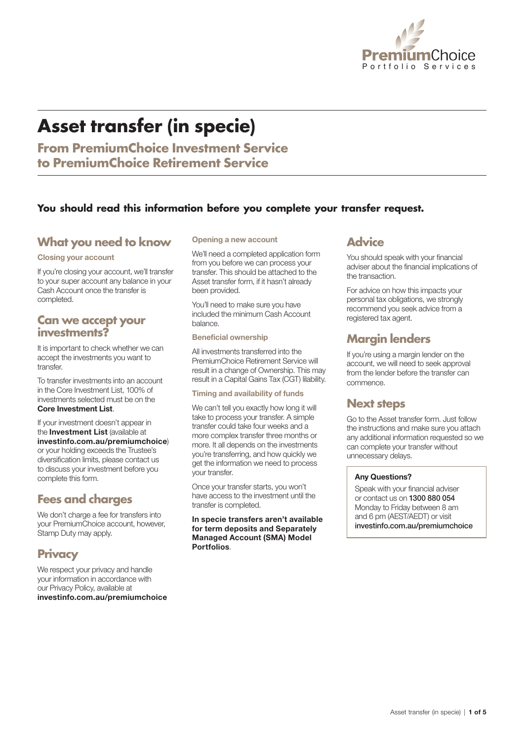

# **Asset transfer (in specie)**

**From PremiumChoice Investment Service to PremiumChoice Retirement Service**

### **You should read this information before you complete your transfer request.**

### **What you need to know**

#### Closing your account

If you're closing your account, we'll transfer to your super account any balance in your Cash Account once the transfer is completed.

### **Can we accept your investments?**

It is important to check whether we can accept the investments you want to transfer.

To transfer investments into an account in the Core Investment List, 100% of investments selected must be on the Core Investment List.

If your investment doesn't appear in the Investment List (available at [investinfo.com.au/premiumchoice](http://investinfo.com.au/premiumchoice)) or your holding exceeds the Trustee's diversification limits, please contact us to discuss your investment before you complete this form.

### **Fees and charges**

We don't charge a fee for transfers into your PremiumChoice account, however, Stamp Duty may apply.

### **Privacy**

We respect your privacy and handle your information in accordance with our Privacy Policy, available at [investinfo.com.au/premiumchoice](http://investinfo.com.au/premiumchoice) 

#### Opening a new account

We'll need a completed application form from you before we can process your transfer. This should be attached to the Asset transfer form, if it hasn't already been provided.

You'll need to make sure you have included the minimum Cash Account balance.

Beneficial ownership

All investments transferred into the PremiumChoice Retirement Service will result in a change of Ownership. This may result in a Capital Gains Tax (CGT) lilability.

Timing and availability of funds

We can't tell you exactly how long it will take to process your transfer. A simple transfer could take four weeks and a more complex transfer three months or more. It all depends on the investments you're transferring, and how quickly we get the information we need to process your transfer.

Once your transfer starts, you won't have access to the investment until the transfer is completed.

In specie transfers aren't available for term deposits and Separately Managed Account (SMA) Model **Portfolios** 

### **Advice**

You should speak with your financial adviser about the financial implications of the transaction.

For advice on how this impacts your personal tax obligations, we strongly recommend you seek advice from a registered tax agent.

### **Margin lenders**

If you're using a margin lender on the account, we will need to seek approval from the lender before the transfer can commence.

### **Next steps**

Go to the Asset transfer form. Just follow the instructions and make sure you attach any additional information requested so we can complete your transfer without unnecessary delays.

### Any Questions?

Speak with your financial adviser or contact us on 1300 880 054 Monday to Friday between 8 am and 6 pm (AEST/AEDT) or visit [investinfo.com.au/premiumchoice](http://investinfo.com.au/premiumchoice)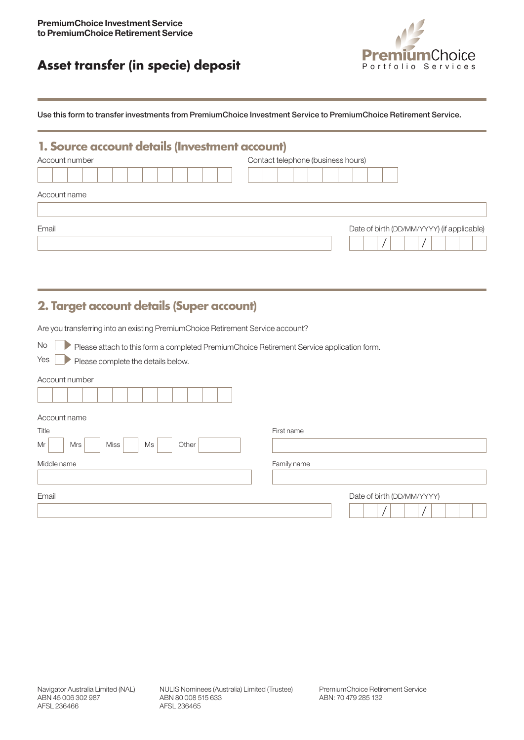## Asset transfer (in specie) deposit **Asset transfer (in specie) deposit**



Use this form to transfer investments from PremiumChoice Investment Service to PremiumChoice Retirement Service.

### **1. Source account details (Investment account)**

| Account number | Contact telephone (business hours)         |  |
|----------------|--------------------------------------------|--|
|                |                                            |  |
| Account name   |                                            |  |
| Email          | Date of birth (DD/MM/YYYY) (if applicable) |  |

### **2. Target account details (Super account)**

Are you transferring into an existing PremiumChoice Retirement Service account?

No Please attach to this form a completed PremiumChoice Retirement Service application form.

Yes Please complete the details below.

## Account number Account name Title **First name** Mr | Mrs | Miss | Ms | Other Middle name **Family name Family name** Email Date of birth (DD/MM/YYYY)  $/$   $/$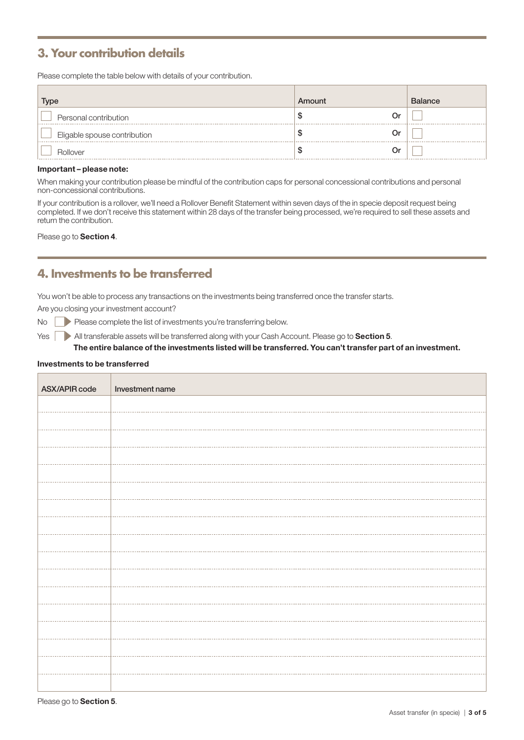### **3. Your contribution details**

Please complete the table below with details of your contribution.

| Type                         | Amount | <b>Balance</b> |
|------------------------------|--------|----------------|
| Personal contribution        | Or     |                |
| Eligable spouse contribution | 0r     |                |
| Rollover                     | Ωr     |                |

#### Important – please note:

When making your contribution please be mindful of the contribution caps for personal concessional contributions and personal non-concessional contributions.

If your contribution is a rollover, we'll need a Rollover Benefit Statement within seven days of the in specie deposit request being completed. If we don't receive this statement within 28 days of the transfer being processed, we're required to sell these assets and return the contribution.

#### Please go to Section 4.

### **4. Investments to be transferred**

You won't be able to process any transactions on the investments being transferred once the transfer starts.

Are you closing your investment account?

No Please complete the list of investments you're transferring below.

Yes **All transferable assets will be transferred along with your Cash Account. Please go to Section 5.** 

The entire balance of the investments listed will be transferred. You can't transfer part of an investment.

#### Investments to be transferred

| ASX/APIR code | Investment name |
|---------------|-----------------|
|               |                 |
|               |                 |
|               |                 |
|               |                 |
|               |                 |
|               |                 |
|               |                 |
|               |                 |
|               |                 |
|               |                 |
|               |                 |
|               |                 |
|               |                 |
|               |                 |
|               |                 |
|               |                 |
|               |                 |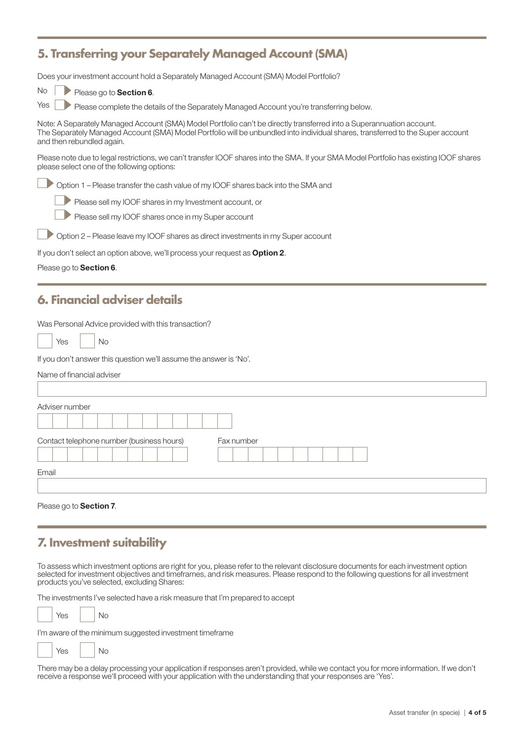### **5. Transferring your Separately Managed Account (SMA)**

| Does your investment account hold a Separately Managed Account (SMA) Model Portfolio?                                                                                                                                                                                                 |
|---------------------------------------------------------------------------------------------------------------------------------------------------------------------------------------------------------------------------------------------------------------------------------------|
| No<br>Please go to Section 6.                                                                                                                                                                                                                                                         |
| Yes<br>Please complete the details of the Separately Managed Account you're transferring below.                                                                                                                                                                                       |
| Note: A Separately Managed Account (SMA) Model Portfolio can't be directly transferred into a Superannuation account.<br>The Separately Managed Account (SMA) Model Portfolio will be unbundled into individual shares, transferred to the Super account<br>and then rebundled again. |
| Please note due to legal restrictions, we can't transfer IOOF shares into the SMA. If your SMA Model Portfolio has existing IOOF shares<br>please select one of the following options:                                                                                                |
| Option 1 - Please transfer the cash value of my IOOF shares back into the SMA and                                                                                                                                                                                                     |
| Please sell my IOOF shares in my Investment account, or                                                                                                                                                                                                                               |
| Please sell my IOOF shares once in my Super account                                                                                                                                                                                                                                   |
| Option 2 - Please leave my IOOF shares as direct investments in my Super account                                                                                                                                                                                                      |
| If you don't select an option above, we'll process your request as Option 2.                                                                                                                                                                                                          |
| Please go to Section 6.                                                                                                                                                                                                                                                               |
|                                                                                                                                                                                                                                                                                       |
| 6. Financial adviser details                                                                                                                                                                                                                                                          |
| Was Personal Advice provided with this transaction?                                                                                                                                                                                                                                   |
| No<br>Yes                                                                                                                                                                                                                                                                             |
|                                                                                                                                                                                                                                                                                       |
| If you don't answer this question we'll assume the answer is 'No'.                                                                                                                                                                                                                    |
| Name of financial adviser                                                                                                                                                                                                                                                             |
|                                                                                                                                                                                                                                                                                       |
| Adviser number                                                                                                                                                                                                                                                                        |
|                                                                                                                                                                                                                                                                                       |
| Contact telephone number (business hours)<br>Fax number                                                                                                                                                                                                                               |
|                                                                                                                                                                                                                                                                                       |
| Email                                                                                                                                                                                                                                                                                 |
|                                                                                                                                                                                                                                                                                       |
| Please go to Section 7.                                                                                                                                                                                                                                                               |
|                                                                                                                                                                                                                                                                                       |

To assess which investment options are right for you, please refer to the relevant disclosure documents for each investment option selected for investment objectives and timeframes, and risk measures. Please respond to the following questions for all investment products you've selected, excluding Shares:

The investments I've selected have a risk measure that I'm prepared to accept

 $Yes \mid No$ 

I'm aware of the minimum suggested investment timeframe

Yes | No

There may be a delay processing your application if responses aren't provided, while we contact you for more information. If we don't receive a response we'll proceed with your application with the understanding that your responses are 'Yes'.